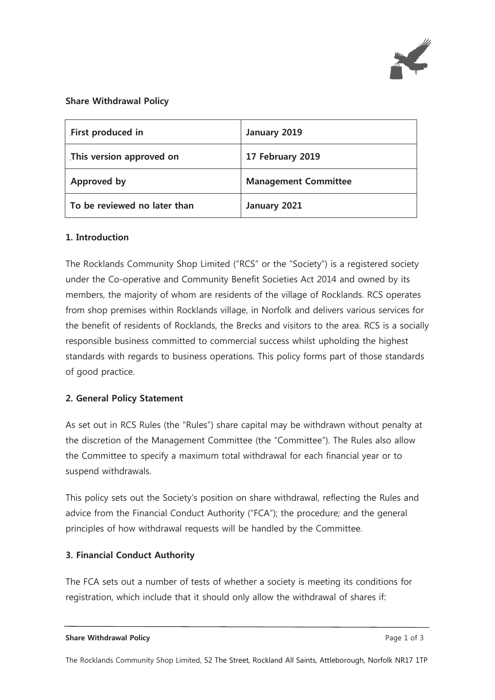

#### **Share Withdrawal Policy**

| First produced in            | January 2019                |  |
|------------------------------|-----------------------------|--|
| This version approved on     | 17 February 2019            |  |
| Approved by                  | <b>Management Committee</b> |  |
| To be reviewed no later than | January 2021                |  |

#### **1. Introduction**

The Rocklands Community Shop Limited ("RCS" or the "Society") is a registered society under the Co-operative and Community Benefit Societies Act 2014 and owned by its members, the majority of whom are residents of the village of Rocklands. RCS operates from shop premises within Rocklands village, in Norfolk and delivers various services for the benefit of residents of Rocklands, the Brecks and visitors to the area. RCS is a socially responsible business committed to commercial success whilst upholding the highest standards with regards to business operations. This policy forms part of those standards of good practice.

## **2. General Policy Statement**

As set out in RCS Rules (the "Rules") share capital may be withdrawn without penalty at the discretion of the Management Committee (the "Committee"). The Rules also allow the Committee to specify a maximum total withdrawal for each financial year or to suspend withdrawals.

This policy sets out the Society's position on share withdrawal, reflecting the Rules and advice from the Financial Conduct Authority ("FCA"); the procedure; and the general principles of how withdrawal requests will be handled by the Committee.

#### **3. Financial Conduct Authority**

The FCA sets out a number of tests of whether a society is meeting its conditions for registration, which include that it should only allow the withdrawal of shares if: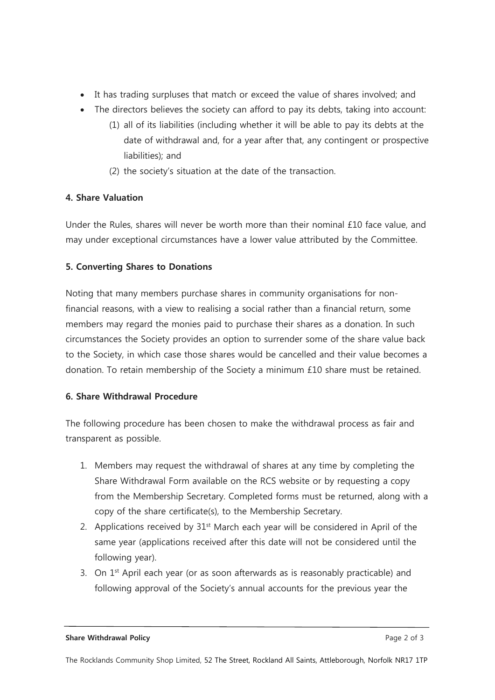- It has trading surpluses that match or exceed the value of shares involved; and
- The directors believes the society can afford to pay its debts, taking into account:
	- (1) all of its liabilities (including whether it will be able to pay its debts at the date of withdrawal and, for a year after that, any contingent or prospective liabilities); and
	- (2) the society's situation at the date of the transaction.

## **4. Share Valuation**

Under the Rules, shares will never be worth more than their nominal £10 face value, and may under exceptional circumstances have a lower value attributed by the Committee.

## **5. Converting Shares to Donations**

Noting that many members purchase shares in community organisations for nonfinancial reasons, with a view to realising a social rather than a financial return, some members may regard the monies paid to purchase their shares as a donation. In such circumstances the Society provides an option to surrender some of the share value back to the Society, in which case those shares would be cancelled and their value becomes a donation. To retain membership of the Society a minimum £10 share must be retained.

## **6. Share Withdrawal Procedure**

The following procedure has been chosen to make the withdrawal process as fair and transparent as possible.

- 1. Members may request the withdrawal of shares at any time by completing the Share Withdrawal Form available on the RCS website or by requesting a copy from the Membership Secretary. Completed forms must be returned, along with a copy of the share certificate(s), to the Membership Secretary.
- 2. Applications received by  $31<sup>st</sup>$  March each year will be considered in April of the same year (applications received after this date will not be considered until the following year).
- 3. On  $1<sup>st</sup>$  April each year (or as soon afterwards as is reasonably practicable) and following approval of the Society's annual accounts for the previous year the

**Share Withdrawal Policy Page 2 of 3**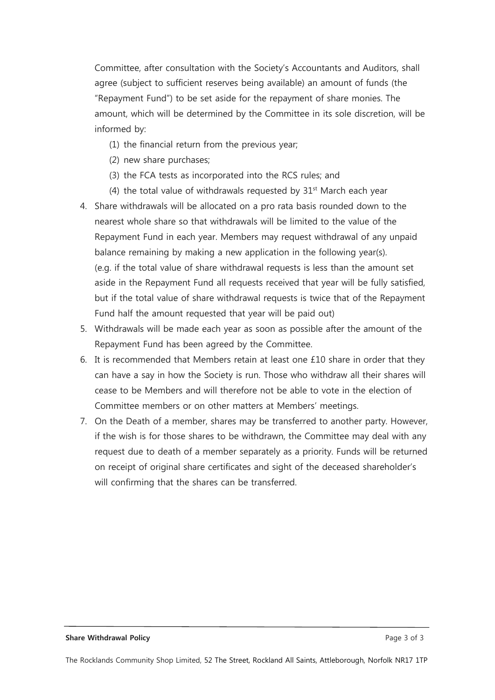Committee, after consultation with the Society's Accountants and Auditors, shall agree (subject to sufficient reserves being available) an amount of funds (the "Repayment Fund") to be set aside for the repayment of share monies. The amount, which will be determined by the Committee in its sole discretion, will be informed by:

- (1) the financial return from the previous year;
- (2) new share purchases;
- (3) the FCA tests as incorporated into the RCS rules; and
- (4) the total value of withdrawals requested by  $31<sup>st</sup>$  March each year
- 4. Share withdrawals will be allocated on a pro rata basis rounded down to the nearest whole share so that withdrawals will be limited to the value of the Repayment Fund in each year. Members may request withdrawal of any unpaid balance remaining by making a new application in the following year(s). (e.g. if the total value of share withdrawal requests is less than the amount set aside in the Repayment Fund all requests received that year will be fully satisfied, but if the total value of share withdrawal requests is twice that of the Repayment Fund half the amount requested that year will be paid out)
- 5. Withdrawals will be made each year as soon as possible after the amount of the Repayment Fund has been agreed by the Committee.
- 6. It is recommended that Members retain at least one  $£10$  share in order that they can have a say in how the Society is run. Those who withdraw all their shares will cease to be Members and will therefore not be able to vote in the election of Committee members or on other matters at Members' meetings.
- 7. On the Death of a member, shares may be transferred to another party. However, if the wish is for those shares to be withdrawn, the Committee may deal with any request due to death of a member separately as a priority. Funds will be returned on receipt of original share certificates and sight of the deceased shareholder's will confirming that the shares can be transferred.